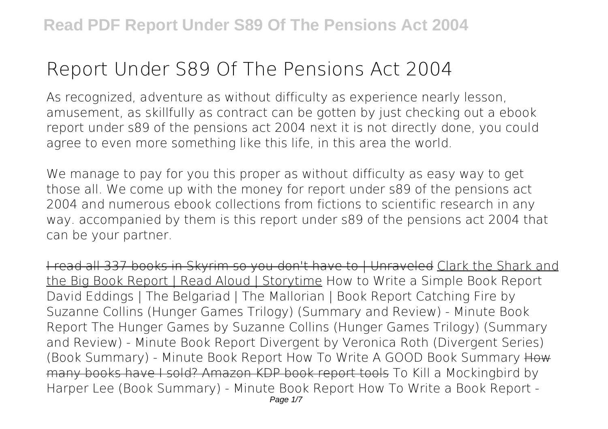# **Report Under S89 Of The Pensions Act 2004**

As recognized, adventure as without difficulty as experience nearly lesson, amusement, as skillfully as contract can be gotten by just checking out a ebook **report under s89 of the pensions act 2004** next it is not directly done, you could agree to even more something like this life, in this area the world.

We manage to pay for you this proper as without difficulty as easy way to get those all. We come up with the money for report under s89 of the pensions act 2004 and numerous ebook collections from fictions to scientific research in any way. accompanied by them is this report under s89 of the pensions act 2004 that can be your partner.

I read all 337 books in Skyrim so you don't have to | Unraveled Clark the Shark and the Big Book Report | Read Aloud | Storytime *How to Write a Simple Book Report* David Eddings | The Belgariad | The Mallorian | Book Report Catching Fire by Suzanne Collins (Hunger Games Trilogy) (Summary and Review) - Minute Book Report **The Hunger Games by Suzanne Collins (Hunger Games Trilogy) (Summary and Review) - Minute Book Report** *Divergent by Veronica Roth (Divergent Series) (Book Summary) - Minute Book Report How To Write A GOOD Book Summary* How many books have I sold? Amazon KDP book report tools *To Kill a Mockingbird by Harper Lee (Book Summary) - Minute Book Report How To Write a Book Report -*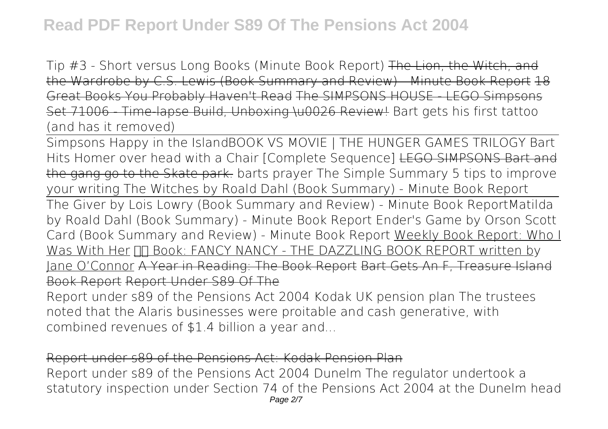*Tip #3 - Short versus Long Books (Minute Book Report)* The Lion, the Witch, and the Wardrobe by C.S. Lewis (Book Summary and Review) - Minute Book Report 18 Great Books You Probably Haven't Read The SIMPSONS HOUSE - LEGO Simpsons Set 71006 - Time-lapse Build, Unboxing \u0026 Review! Bart gets his first tattoo (and has it removed)

Simpsons Happy in the Island*BOOK VS MOVIE | THE HUNGER GAMES TRILOGY Bart Hits Homer over head with a Chair [Complete Sequence]* LEGO SIMPSONS Bart and the gang go to the Skate park. *barts prayer* The Simple Summary *5 tips to improve your writing* The Witches by Roald Dahl (Book Summary) - Minute Book Report

The Giver by Lois Lowry (Book Summary and Review) - Minute Book Report**Matilda by Roald Dahl (Book Summary) - Minute Book Report** Ender's Game by Orson Scott Card (Book Summary and Review) - Minute Book Report Weekly Book Report: Who I Was With Her  $\Pi$  Book: FANCY NANCY - THE DAZZLING BOOK REPORT written by Jane O'Connor A Year in Reading: The Book Report Bart Gets An F, Treasure Island Book Report Report Under S89 Of The

Report under s89 of the Pensions Act 2004 Kodak UK pension plan The trustees noted that the Alaris businesses were proitable and cash generative, with combined revenues of \$1.4 billion a year and...

#### Report under s89 of the Pensions Act: Kodak Pension Plan

Report under s89 of the Pensions Act 2004 Dunelm The regulator undertook a statutory inspection under Section 74 of the Pensions Act 2004 at the Dunelm head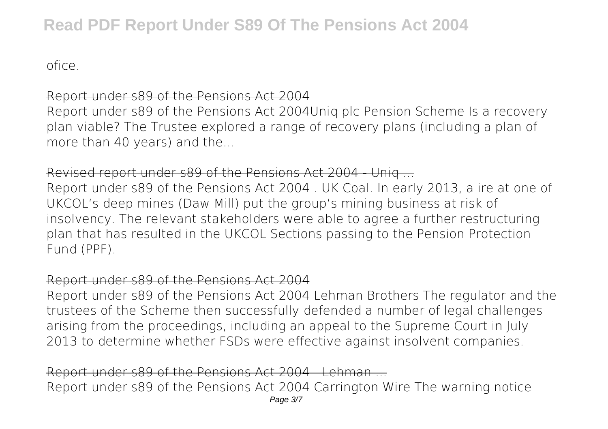ofice.

#### Report under s89 of the Pensions Act 2004

Report under s89 of the Pensions Act 2004Uniq plc Pension Scheme Is a recovery plan viable? The Trustee explored a range of recovery plans (including a plan of more than 40 years) and the...

#### Revised report under s89 of the Pensions Act 2004 - Uniq ...

Report under s89 of the Pensions Act 2004 . UK Coal. In early 2013, a ire at one of UKCOL's deep mines (Daw Mill) put the group's mining business at risk of insolvency. The relevant stakeholders were able to agree a further restructuring plan that has resulted in the UKCOL Sections passing to the Pension Protection Fund (PPF).

#### Report under s89 of the Pensions Act 2004

Report under s89 of the Pensions Act 2004 Lehman Brothers The regulator and the trustees of the Scheme then successfully defended a number of legal challenges arising from the proceedings, including an appeal to the Supreme Court in July 2013 to determine whether FSDs were effective against insolvent companies.

Report under s89 of the Pensions Act 2004 - Lehman ... Report under s89 of the Pensions Act 2004 Carrington Wire The warning notice Page 3/7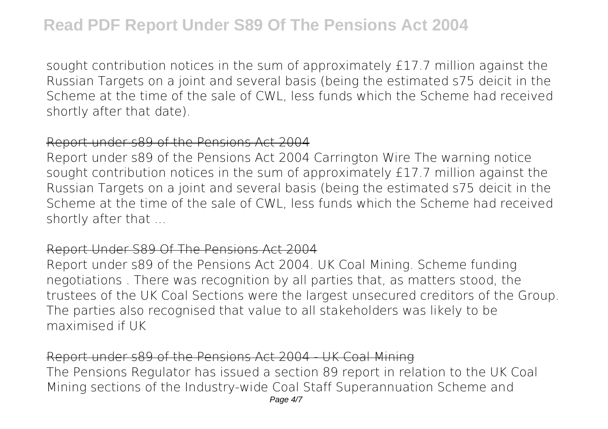sought contribution notices in the sum of approximately £17.7 million against the Russian Targets on a joint and several basis (being the estimated s75 deicit in the Scheme at the time of the sale of CWL, less funds which the Scheme had received shortly after that date).

## Report under s89 of the Pensions Act 2004

Report under s89 of the Pensions Act 2004 Carrington Wire The warning notice sought contribution notices in the sum of approximately £17.7 million against the Russian Targets on a joint and several basis (being the estimated s75 deicit in the Scheme at the time of the sale of CWL, less funds which the Scheme had received shortly after that ...

#### Report Under S89 Of The Pensions Act 2004

Report under s89 of the Pensions Act 2004. UK Coal Mining. Scheme funding negotiations . There was recognition by all parties that, as matters stood, the trustees of the UK Coal Sections were the largest unsecured creditors of the Group. The parties also recognised that value to all stakeholders was likely to be maximised if UK

## Report under s89 of the Pensions Act 2004 - UK Coal Mining

The Pensions Regulator has issued a section 89 report in relation to the UK Coal Mining sections of the Industry-wide Coal Staff Superannuation Scheme and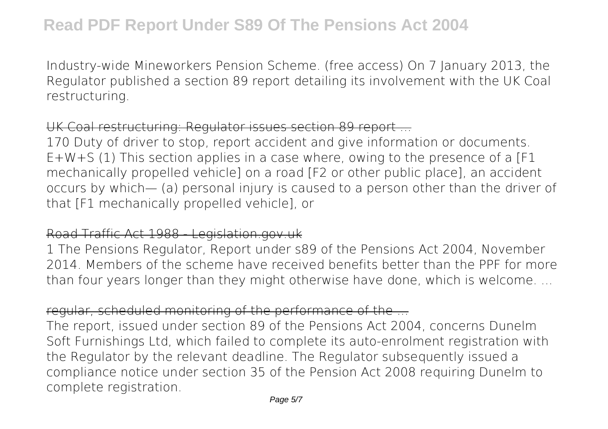Industry-wide Mineworkers Pension Scheme. (free access) On 7 January 2013, the Regulator published a section 89 report detailing its involvement with the UK Coal restructuring.

## UK Coal restructuring: Regulator issues section 89 report ...

170 Duty of driver to stop, report accident and give information or documents.  $E+W+S$  (1) This section applies in a case where, owing to the presence of a [F1 mechanically propelled vehicle] on a road [F2 or other public place], an accident occurs by which— (a) personal injury is caused to a person other than the driver of that [F1 mechanically propelled vehicle], or

## Road Traffic Act 1988 - Legislation.gov.uk

1 The Pensions Regulator, Report under s89 of the Pensions Act 2004, November 2014. Members of the scheme have received benefits better than the PPF for more than four years longer than they might otherwise have done, which is welcome. ...

## regular, scheduled monitoring of the performance of the ...

The report, issued under section 89 of the Pensions Act 2004, concerns Dunelm Soft Furnishings Ltd, which failed to complete its auto-enrolment registration with the Regulator by the relevant deadline. The Regulator subsequently issued a compliance notice under section 35 of the Pension Act 2008 requiring Dunelm to complete registration.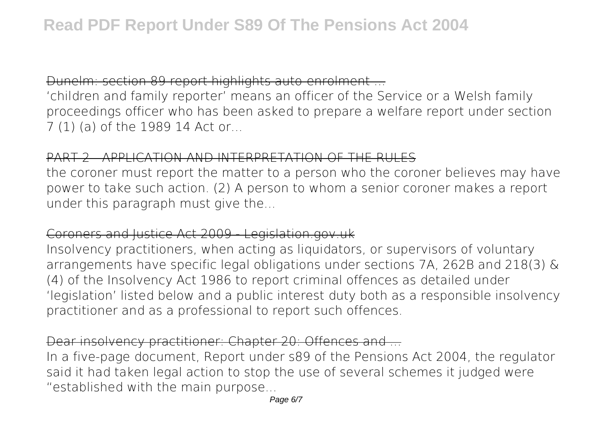## Dunelm: section 89 report highlights auto-enrolment ...

'children and family reporter' means an officer of the Service or a Welsh family proceedings officer who has been asked to prepare a welfare report under section 7 (1) (a) of the 1989 14 Act or...

#### PART 2 - APPLICATION AND INTERPRETATION OF THE RULES

the coroner must report the matter to a person who the coroner believes may have power to take such action. (2) A person to whom a senior coroner makes a report under this paragraph must give the...

## Coroners and Justice Act 2009 - Legislation.gov.uk

Insolvency practitioners, when acting as liquidators, or supervisors of voluntary arrangements have specific legal obligations under sections 7A, 262B and 218(3) & (4) of the Insolvency Act 1986 to report criminal offences as detailed under 'legislation' listed below and a public interest duty both as a responsible insolvency practitioner and as a professional to report such offences.

## Dear insolvency practitioner: Chapter 20: Offences and ...

In a five-page document, Report under s89 of the Pensions Act 2004, the regulator said it had taken legal action to stop the use of several schemes it judged were "established with the main purpose...